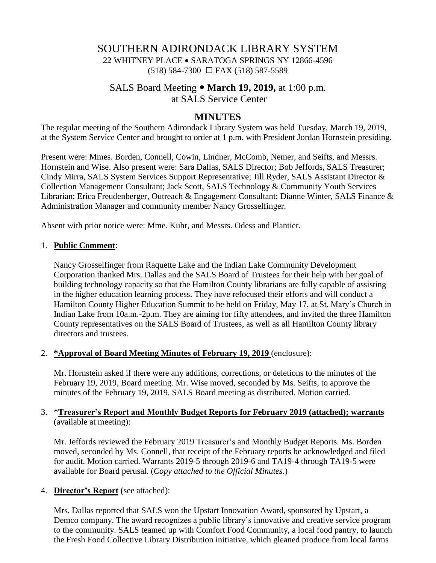# SOUTHERN ADIRONDACK LIBRARY SYSTEM 22 WHITNEY PLACE • SARATOGA SPRINGS NY 12866-4596  $(518) 584-7300 \square$  FAX  $(518) 587-5589$

# SALS Board Meeting **March 19, 2019,** at 1:00 p.m. at SALS Service Center

## **MINUTES**

The regular meeting of the Southern Adirondack Library System was held Tuesday, March 19, 2019, at the System Service Center and brought to order at 1 p.m. with President Jordan Hornstein presiding.

Present were: Mmes. Borden, Connell, Cowin, Lindner, McComb, Nemer, and Seifts, and Messrs. Hornstein and Wise. Also present were: Sara Dallas, SALS Director; Bob Jeffords, SALS Treasurer; Cindy Mirra, SALS System Services Support Representative; Jill Ryder, SALS Assistant Director & Collection Management Consultant; Jack Scott, SALS Technology & Community Youth Services Librarian; Erica Freudenberger, Outreach & Engagement Consultant; Dianne Winter, SALS Finance & Administration Manager and community member Nancy Grosselfinger.

Absent with prior notice were: Mme. Kuhr, and Messrs. Odess and Plantier.

### 1. **Public Comment**:

Nancy Grosselfinger from Raquette Lake and the Indian Lake Community Development Corporation thanked Mrs. Dallas and the SALS Board of Trustees for their help with her goal of building technology capacity so that the Hamilton County librarians are fully capable of assisting in the higher education learning process. They have refocused their efforts and will conduct a Hamilton County Higher Education Summit to be held on Friday, May 17, at St. Mary's Church in Indian Lake from 10a.m.-2p.m. They are aiming for fifty attendees, and invited the three Hamilton County representatives on the SALS Board of Trustees, as well as all Hamilton County library directors and trustees.

### 2. **\*Approval of Board Meeting Minutes of February 19, 2019** (enclosure):

Mr. Hornstein asked if there were any additions, corrections, or deletions to the minutes of the February 19, 2019, Board meeting. Mr. Wise moved, seconded by Ms. Seifts, to approve the minutes of the February 19, 2019, SALS Board meeting as distributed. Motion carried.

### 3. \***Treasurer's Report and Monthly Budget Reports for February 2019 (attached); warrants** (available at meeting):

Mr. Jeffords reviewed the February 2019 Treasurer's and Monthly Budget Reports. Ms. Borden moved, seconded by Ms. Connell, that receipt of the February reports be acknowledged and filed for audit. Motion carried. Warrants 2019-5 through 2019-6 and TA19-4 through TA19-5 were available for Board perusal. (*Copy attached to the Official Minutes.*)

### 4. **Director's Report** (see attached):

Mrs. Dallas reported that SALS won the Upstart Innovation Award, sponsored by Upstart, a Demco company. The award recognizes a public library's innovative and creative service program to the community. SALS teamed up with Comfort Food Community, a local food pantry, to launch the Fresh Food Collective Library Distribution initiative, which gleaned produce from local farms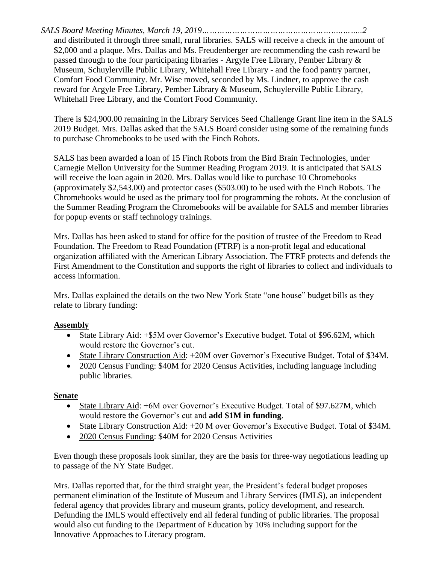*SALS Board Meeting Minutes, March 19, 2019………………………………………………..……..2* and distributed it through three small, rural libraries. SALS will receive a check in the amount of \$2,000 and a plaque. Mrs. Dallas and Ms. Freudenberger are recommending the cash reward be passed through to the four participating libraries - Argyle Free Library, Pember Library & Museum, Schuylerville Public Library, Whitehall Free Library - and the food pantry partner, Comfort Food Community. Mr. Wise moved, seconded by Ms. Lindner, to approve the cash reward for Argyle Free Library, Pember Library & Museum, Schuylerville Public Library, Whitehall Free Library, and the Comfort Food Community.

There is \$24,900.00 remaining in the Library Services Seed Challenge Grant line item in the SALS 2019 Budget. Mrs. Dallas asked that the SALS Board consider using some of the remaining funds to purchase Chromebooks to be used with the Finch Robots.

SALS has been awarded a loan of 15 Finch Robots from the Bird Brain Technologies, under Carnegie Mellon University for the Summer Reading Program 2019. It is anticipated that SALS will receive the loan again in 2020. Mrs. Dallas would like to purchase 10 Chromebooks (approximately \$2,543.00) and protector cases (\$503.00) to be used with the Finch Robots. The Chromebooks would be used as the primary tool for programming the robots. At the conclusion of the Summer Reading Program the Chromebooks will be available for SALS and member libraries for popup events or staff technology trainings.

Mrs. Dallas has been asked to stand for office for the position of trustee of the Freedom to Read Foundation. The Freedom to Read Foundation (FTRF) is a non-profit legal and educational organization affiliated with the American Library Association. The FTRF protects and defends the First Amendment to the Constitution and supports the right of libraries to collect and individuals to access information.

Mrs. Dallas explained the details on the two New York State "one house" budget bills as they relate to library funding:

## **Assembly**

- State Library Aid: +\$5M over Governor's Executive budget. Total of \$96.62M, which would restore the Governor's cut.
- State Library Construction Aid: +20M over Governor's Executive Budget. Total of \$34M.
- 2020 Census Funding: \$40M for 2020 Census Activities, including language including public libraries.

### **Senate**

- State Library Aid: +6M over Governor's Executive Budget. Total of \$97.627M, which would restore the Governor's cut and **add \$1M in funding**.
- State Library Construction Aid: +20 M over Governor's Executive Budget. Total of \$34M.
- 2020 Census Funding: \$40M for 2020 Census Activities

Even though these proposals look similar, they are the basis for three-way negotiations leading up to passage of the NY State Budget.

Mrs. Dallas reported that, for the third straight year, the President's federal budget proposes permanent elimination of the Institute of Museum and Library Services (IMLS), an independent federal agency that provides library and museum grants, policy development, and research. Defunding the IMLS would effectively end all federal funding of public libraries. The proposal would also cut funding to the Department of Education by 10% including support for the Innovative Approaches to Literacy program.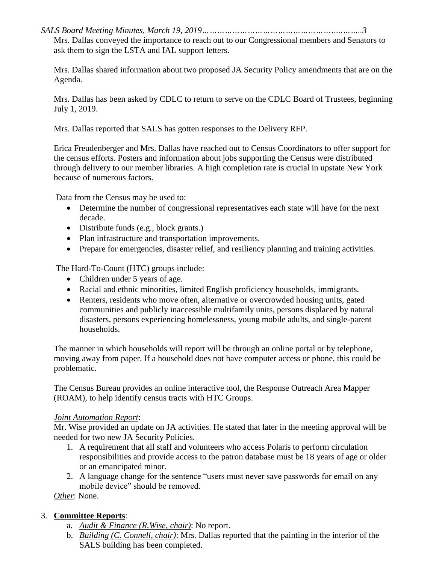*SALS Board Meeting Minutes, March 19, 2019………………………………………………..……..3*

Mrs. Dallas conveyed the importance to reach out to our Congressional members and Senators to ask them to sign the LSTA and IAL support letters.

Mrs. Dallas shared information about two proposed JA Security Policy amendments that are on the Agenda.

Mrs. Dallas has been asked by CDLC to return to serve on the CDLC Board of Trustees, beginning July 1, 2019.

Mrs. Dallas reported that SALS has gotten responses to the Delivery RFP.

Erica Freudenberger and Mrs. Dallas have reached out to Census Coordinators to offer support for the census efforts. Posters and information about jobs supporting the Census were distributed through delivery to our member libraries. A high completion rate is crucial in upstate New York because of numerous factors.

Data from the Census may be used to:

- Determine the number of congressional representatives each state will have for the next decade.
- Distribute funds (e.g., block grants.)
- Plan infrastructure and transportation improvements.
- Prepare for emergencies, disaster relief, and resiliency planning and training activities.

The Hard-To-Count (HTC) groups include:

- Children under 5 years of age.
- Racial and ethnic minorities, limited English proficiency households, immigrants.
- Renters, residents who move often, alternative or overcrowded housing units, gated communities and publicly inaccessible multifamily units, persons displaced by natural disasters, persons experiencing homelessness, young mobile adults, and single-parent households.

The manner in which households will report will be through an online portal or by telephone, moving away from paper. If a household does not have computer access or phone, this could be problematic.

The Census Bureau provides an online interactive tool, the Response Outreach Area Mapper (ROAM), to help identify census tracts with HTC Groups.

### *Joint Automation Report*:

Mr. Wise provided an update on JA activities. He stated that later in the meeting approval will be needed for two new JA Security Policies.

- 1. A requirement that all staff and volunteers who access Polaris to perform circulation responsibilities and provide access to the patron database must be 18 years of age or older or an emancipated minor.
- 2. A language change for the sentence "users must never save passwords for email on any mobile device" should be removed.

*Other*: None.

### 3. **Committee Reports**:

- a. *Audit & Finance (R.Wise, chair)*: No report.
- b. *Building (C. Connell, chair)*: Mrs. Dallas reported that the painting in the interior of the SALS building has been completed.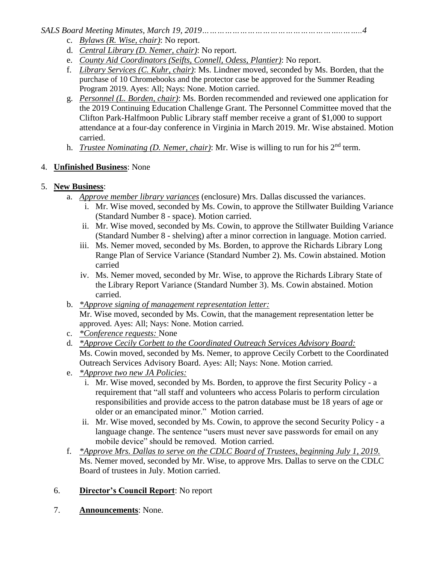*SALS Board Meeting Minutes, March 19, 2019………………………………………………..……..4*

- c. *Bylaws (R. Wise, chair)*: No report.
- d. *Central Library (D. Nemer, chair)*: No report.
- e. *County Aid Coordinators (Seifts, Connell, Odess, Plantier)*: No report.
- f. *Library Services (C. Kuhr, chair)*: Ms. Lindner moved, seconded by Ms. Borden, that the purchase of 10 Chromebooks and the protector case be approved for the Summer Reading Program 2019. Ayes: All; Nays: None. Motion carried.
- g. *Personnel (L. Borden, chair)*: Ms. Borden recommended and reviewed one application for the 2019 Continuing Education Challenge Grant. The Personnel Committee moved that the Clifton Park-Halfmoon Public Library staff member receive a grant of \$1,000 to support attendance at a four-day conference in Virginia in March 2019. Mr. Wise abstained. Motion carried.
- h. *Trustee Nominating (D. Nemer, chair)*: Mr. Wise is willing to run for his 2nd term.

## 4. **Unfinished Business**: None

## 5. **New Business**:

- a. *Approve member library variances* (enclosure) Mrs. Dallas discussed the variances.
	- i. Mr. Wise moved, seconded by Ms. Cowin, to approve the Stillwater Building Variance (Standard Number 8 - space). Motion carried.
	- ii. Mr. Wise moved, seconded by Ms. Cowin, to approve the Stillwater Building Variance (Standard Number 8 - shelving) after a minor correction in language. Motion carried.
	- iii. Ms. Nemer moved, seconded by Ms. Borden, to approve the Richards Library Long Range Plan of Service Variance (Standard Number 2). Ms. Cowin abstained. Motion carried
	- iv. Ms. Nemer moved, seconded by Mr. Wise, to approve the Richards Library State of the Library Report Variance (Standard Number 3). Ms. Cowin abstained. Motion carried.
- b. *\*Approve signing of management representation letter:* Mr. Wise moved, seconded by Ms. Cowin, that the management representation letter be approved. Ayes: All; Nays: None. Motion carried.
- c. *\*Conference requests:* None
- d. *\*Approve Cecily Corbett to the Coordinated Outreach Services Advisory Board:* Ms. Cowin moved, seconded by Ms. Nemer, to approve Cecily Corbett to the Coordinated Outreach Services Advisory Board. Ayes: All; Nays: None. Motion carried.
- e. *\*Approve two new JA Policies:*
	- i. Mr. Wise moved, seconded by Ms. Borden, to approve the first Security Policy a requirement that "all staff and volunteers who access Polaris to perform circulation responsibilities and provide access to the patron database must be 18 years of age or older or an emancipated minor." Motion carried.
	- ii. Mr. Wise moved, seconded by Ms. Cowin, to approve the second Security Policy a language change. The sentence "users must never save passwords for email on any mobile device" should be removed. Motion carried.
- f. *\*Approve Mrs. Dallas to serve on the CDLC Board of Trustees, beginning July 1, 2019.* Ms. Nemer moved, seconded by Mr. Wise, to approve Mrs. Dallas to serve on the CDLC Board of trustees in July. Motion carried.
- 6. **Director's Council Report**: No report
- 7. **Announcements**: None.